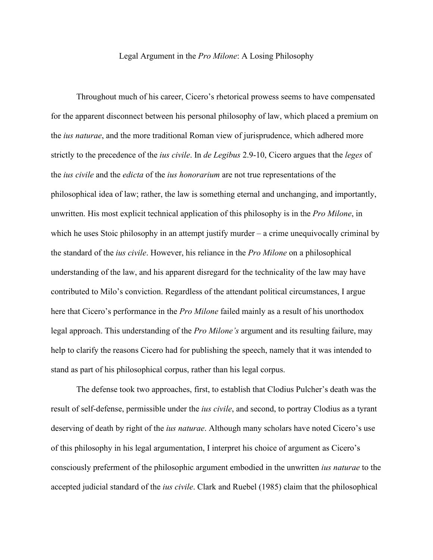## Legal Argument in the *Pro Milone*: A Losing Philosophy

Throughout much of his career, Cicero's rhetorical prowess seems to have compensated for the apparent disconnect between his personal philosophy of law, which placed a premium on the *ius naturae*, and the more traditional Roman view of jurisprudence, which adhered more strictly to the precedence of the *ius civile*. In *de Legibus* 2.9-10, Cicero argues that the *leges* of the *ius civile* and the *edicta* of the *ius honorarium* are not true representations of the philosophical idea of law; rather, the law is something eternal and unchanging, and importantly, unwritten. His most explicit technical application of this philosophy is in the *Pro Milone*, in which he uses Stoic philosophy in an attempt justify murder – a crime unequivocally criminal by the standard of the *ius civile*. However, his reliance in the *Pro Milone* on a philosophical understanding of the law, and his apparent disregard for the technicality of the law may have contributed to Milo's conviction. Regardless of the attendant political circumstances, I argue here that Cicero's performance in the *Pro Milone* failed mainly as a result of his unorthodox legal approach. This understanding of the *Pro Milone's* argument and its resulting failure, may help to clarify the reasons Cicero had for publishing the speech, namely that it was intended to stand as part of his philosophical corpus, rather than his legal corpus.

The defense took two approaches, first, to establish that Clodius Pulcher's death was the result of self-defense, permissible under the *ius civile*, and second, to portray Clodius as a tyrant deserving of death by right of the *ius naturae*. Although many scholars have noted Cicero's use of this philosophy in his legal argumentation, I interpret his choice of argument as Cicero's consciously preferment of the philosophic argument embodied in the unwritten *ius naturae* to the accepted judicial standard of the *ius civile*. Clark and Ruebel (1985) claim that the philosophical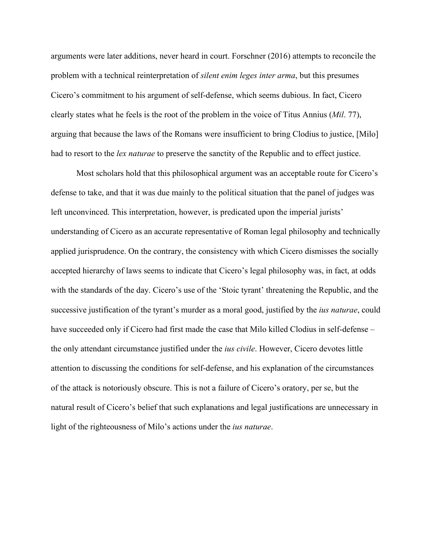arguments were later additions, never heard in court. Forschner (2016) attempts to reconcile the problem with a technical reinterpretation of *silent enim leges inter arma*, but this presumes Cicero's commitment to his argument of self-defense, which seems dubious. In fact, Cicero clearly states what he feels is the root of the problem in the voice of Titus Annius (*Mil*. 77), arguing that because the laws of the Romans were insufficient to bring Clodius to justice, [Milo] had to resort to the *lex naturae* to preserve the sanctity of the Republic and to effect justice.

Most scholars hold that this philosophical argument was an acceptable route for Cicero's defense to take, and that it was due mainly to the political situation that the panel of judges was left unconvinced. This interpretation, however, is predicated upon the imperial jurists' understanding of Cicero as an accurate representative of Roman legal philosophy and technically applied jurisprudence. On the contrary, the consistency with which Cicero dismisses the socially accepted hierarchy of laws seems to indicate that Cicero's legal philosophy was, in fact, at odds with the standards of the day. Cicero's use of the 'Stoic tyrant' threatening the Republic, and the successive justification of the tyrant's murder as a moral good, justified by the *ius naturae*, could have succeeded only if Cicero had first made the case that Milo killed Clodius in self-defense – the only attendant circumstance justified under the *ius civile*. However, Cicero devotes little attention to discussing the conditions for self-defense, and his explanation of the circumstances of the attack is notoriously obscure. This is not a failure of Cicero's oratory, per se, but the natural result of Cicero's belief that such explanations and legal justifications are unnecessary in light of the righteousness of Milo's actions under the *ius naturae*.